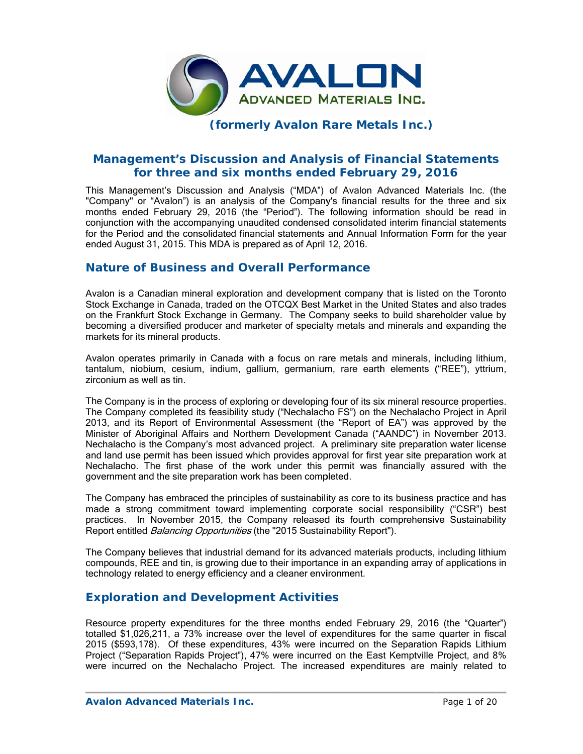

## **(f formerly Avalon R Rare Meta als Inc.)**

# **Management's Discussion and Analysis of Financial Statements** for three and six months ended February 29, 2016

This Management's Discussion and Analysis ("MDA") of Avalon Advanced Materials Inc. (the "Company" or "Avalon") is an analysis of the Company's financial results for the three and six months ended February 29, 2016 (the "Period"). The following information should be read in conjunction with the accompanying unaudited condensed consolidated interim financial statements for the Period and the consolidated financial statements and Annual Information Form for the year ended August 31, 2015. This MDA is prepared as of April 12, 2016.

## **Nature of Business and Overall Performance**

Avalon is a Canadian mineral exploration and development company that is listed on the Toronto Stock Exchange in Canada, traded on the OTCQX Best Market in the United States and also trades on the Frankfurt Stock Exchange in Germany. The Company seeks to build shareholder value by becoming a diversified producer and marketer of specialty metals and minerals and expanding the markets for its mineral products.

Avalon operates primarily in Canada with a focus on rare metals and minerals, including lithium, tantalum, niobium, cesium, indium, gallium, germanium, rare earth elements ("REE"), yttrium, zircon nium as well a as tin.

The Company is in the process of exploring or developing four of its six mineral resource properties. The Company completed its feasibility study ("Nechalacho FS") on the Nechalacho Project in April 2013, and its Report of Environmental Assessment (the "Report of EA") was approved by the Minister of Aboriginal Affairs and Northern Development Canada ("AANDC") in November 2013. Nechalacho is the Company's most advanced project. A preliminary site preparation water license and land use permit has been issued which provides approval for first year site preparation work at Nechalacho. The first phase of the work under this permit was financially assured with the government and the site preparation work has been completed.

The Company has embraced the principles of sustainability as core to its business practice and has made a strong commitment toward implementing corporate social responsibility ("CSR") best practices. In November 2015, the Company released its fourth comprehensive Sustainability Report entitled *Balancing Opportunities* (the "2015 Sustainability Report").

The Company believes that industrial demand for its advanced materials products, including lithium compounds, REE and tin, is growing due to their importance in an expanding array of applications in technology related to energy efficiency and a cleaner environment.

## **Exploration and Development Activities**

Resource property expenditures for the three months ended February 29, 2016 (the "Quarter") totalled \$1,026,211, a 73% increase over the level of expenditures for the same quarter in fiscal 2015 (\$593,178). Of these expenditures, 43% were incurred on the Separation Rapids Lithium Project ("Separation Rapids Project"), 47% were incurred on the East Kemptville Project, and 8% were incurred on the Nechalacho Project. The increased expenditures are mainly related to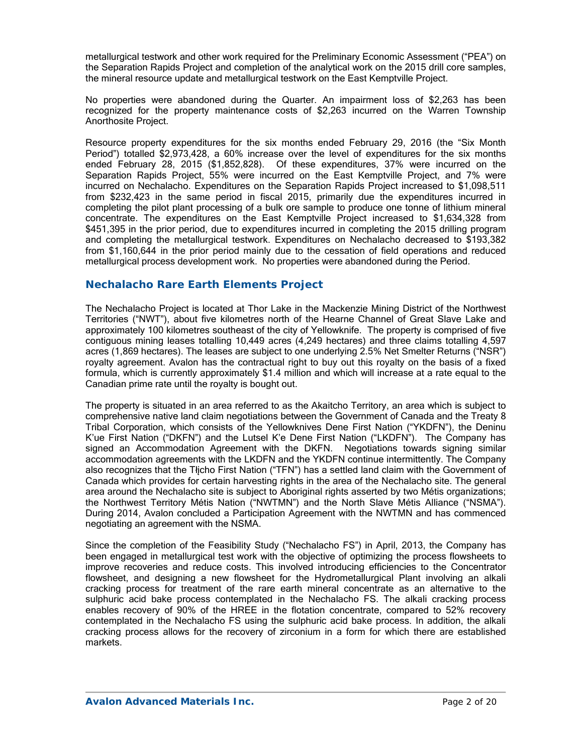metallurgical testwork and other work required for the Preliminary Economic Assessment ("PEA") on the Separation Rapids Project and completion of the analytical work on the 2015 drill core samples, the mineral resource update and metallurgical testwork on the East Kemptville Project.

No properties were abandoned during the Quarter. An impairment loss of \$2,263 has been recognized for the property maintenance costs of \$2,263 incurred on the Warren Township Anorthosite Project.

Resource property expenditures for the six months ended February 29, 2016 (the "Six Month Period") totalled \$2,973,428, a 60% increase over the level of expenditures for the six months ended February 28, 2015 (\$1,852,828). Of these expenditures, 37% were incurred on the Separation Rapids Project, 55% were incurred on the East Kemptville Project, and 7% were incurred on Nechalacho. Expenditures on the Separation Rapids Project increased to \$1,098,511 from \$232,423 in the same period in fiscal 2015, primarily due the expenditures incurred in completing the pilot plant processing of a bulk ore sample to produce one tonne of lithium mineral concentrate. The expenditures on the East Kemptville Project increased to \$1,634,328 from \$451,395 in the prior period, due to expenditures incurred in completing the 2015 drilling program and completing the metallurgical testwork. Expenditures on Nechalacho decreased to \$193,382 from \$1,160,644 in the prior period mainly due to the cessation of field operations and reduced metallurgical process development work. No properties were abandoned during the Period.

### **Nechalacho Rare Earth Elements Project**

The Nechalacho Project is located at Thor Lake in the Mackenzie Mining District of the Northwest Territories ("NWT"), about five kilometres north of the Hearne Channel of Great Slave Lake and approximately 100 kilometres southeast of the city of Yellowknife. The property is comprised of five contiguous mining leases totalling 10,449 acres (4,249 hectares) and three claims totalling 4,597 acres (1,869 hectares). The leases are subject to one underlying 2.5% Net Smelter Returns ("NSR") royalty agreement. Avalon has the contractual right to buy out this royalty on the basis of a fixed formula, which is currently approximately \$1.4 million and which will increase at a rate equal to the Canadian prime rate until the royalty is bought out.

The property is situated in an area referred to as the Akaitcho Territory, an area which is subject to comprehensive native land claim negotiations between the Government of Canada and the Treaty 8 Tribal Corporation, which consists of the Yellowknives Dene First Nation ("YKDFN"), the Deninu K'ue First Nation ("DKFN") and the Lutsel K'e Dene First Nation ("LKDFN"). The Company has signed an Accommodation Agreement with the DKFN. Negotiations towards signing similar accommodation agreements with the LKDFN and the YKDFN continue intermittently. The Company also recognizes that the Tłįcho First Nation ("TFN") has a settled land claim with the Government of Canada which provides for certain harvesting rights in the area of the Nechalacho site. The general area around the Nechalacho site is subject to Aboriginal rights asserted by two Métis organizations; the Northwest Territory Métis Nation ("NWTMN") and the North Slave Métis Alliance ("NSMA"). During 2014, Avalon concluded a Participation Agreement with the NWTMN and has commenced negotiating an agreement with the NSMA.

Since the completion of the Feasibility Study ("Nechalacho FS") in April, 2013, the Company has been engaged in metallurgical test work with the objective of optimizing the process flowsheets to improve recoveries and reduce costs. This involved introducing efficiencies to the Concentrator flowsheet, and designing a new flowsheet for the Hydrometallurgical Plant involving an alkali cracking process for treatment of the rare earth mineral concentrate as an alternative to the sulphuric acid bake process contemplated in the Nechalacho FS. The alkali cracking process enables recovery of 90% of the HREE in the flotation concentrate, compared to 52% recovery contemplated in the Nechalacho FS using the sulphuric acid bake process. In addition, the alkali cracking process allows for the recovery of zirconium in a form for which there are established markets.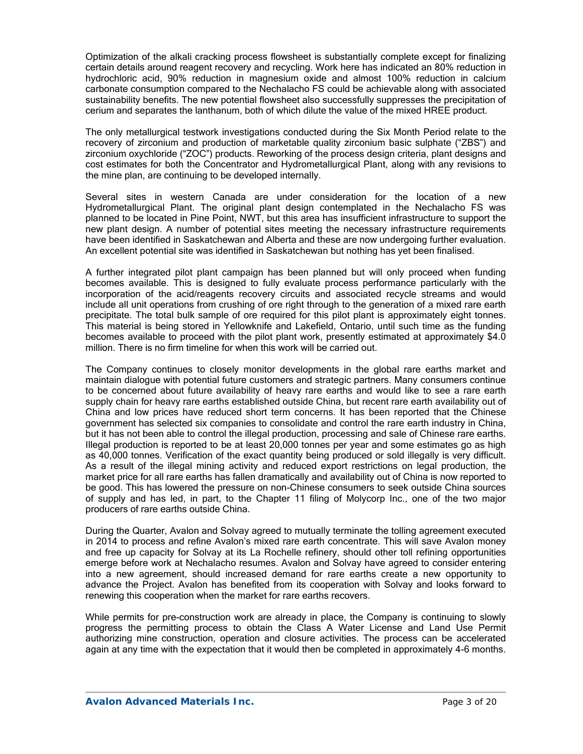Optimization of the alkali cracking process flowsheet is substantially complete except for finalizing certain details around reagent recovery and recycling. Work here has indicated an 80% reduction in hydrochloric acid, 90% reduction in magnesium oxide and almost 100% reduction in calcium carbonate consumption compared to the Nechalacho FS could be achievable along with associated sustainability benefits. The new potential flowsheet also successfully suppresses the precipitation of cerium and separates the lanthanum, both of which dilute the value of the mixed HREE product.

The only metallurgical testwork investigations conducted during the Six Month Period relate to the recovery of zirconium and production of marketable quality zirconium basic sulphate ("ZBS") and zirconium oxychloride ("ZOC") products. Reworking of the process design criteria, plant designs and cost estimates for both the Concentrator and Hydrometallurgical Plant, along with any revisions to the mine plan, are continuing to be developed internally.

Several sites in western Canada are under consideration for the location of a new Hydrometallurgical Plant. The original plant design contemplated in the Nechalacho FS was planned to be located in Pine Point, NWT, but this area has insufficient infrastructure to support the new plant design. A number of potential sites meeting the necessary infrastructure requirements have been identified in Saskatchewan and Alberta and these are now undergoing further evaluation. An excellent potential site was identified in Saskatchewan but nothing has yet been finalised.

A further integrated pilot plant campaign has been planned but will only proceed when funding becomes available. This is designed to fully evaluate process performance particularly with the incorporation of the acid/reagents recovery circuits and associated recycle streams and would include all unit operations from crushing of ore right through to the generation of a mixed rare earth precipitate. The total bulk sample of ore required for this pilot plant is approximately eight tonnes. This material is being stored in Yellowknife and Lakefield, Ontario, until such time as the funding becomes available to proceed with the pilot plant work, presently estimated at approximately \$4.0 million. There is no firm timeline for when this work will be carried out.

The Company continues to closely monitor developments in the global rare earths market and maintain dialogue with potential future customers and strategic partners. Many consumers continue to be concerned about future availability of heavy rare earths and would like to see a rare earth supply chain for heavy rare earths established outside China, but recent rare earth availability out of China and low prices have reduced short term concerns. It has been reported that the Chinese government has selected six companies to consolidate and control the rare earth industry in China, but it has not been able to control the illegal production, processing and sale of Chinese rare earths. Illegal production is reported to be at least 20,000 tonnes per year and some estimates go as high as 40,000 tonnes. Verification of the exact quantity being produced or sold illegally is very difficult. As a result of the illegal mining activity and reduced export restrictions on legal production, the market price for all rare earths has fallen dramatically and availability out of China is now reported to be good. This has lowered the pressure on non-Chinese consumers to seek outside China sources of supply and has led, in part, to the Chapter 11 filing of Molycorp Inc., one of the two major producers of rare earths outside China.

During the Quarter, Avalon and Solvay agreed to mutually terminate the tolling agreement executed in 2014 to process and refine Avalon's mixed rare earth concentrate. This will save Avalon money and free up capacity for Solvay at its La Rochelle refinery, should other toll refining opportunities emerge before work at Nechalacho resumes. Avalon and Solvay have agreed to consider entering into a new agreement, should increased demand for rare earths create a new opportunity to advance the Project. Avalon has benefited from its cooperation with Solvay and looks forward to renewing this cooperation when the market for rare earths recovers.

While permits for pre-construction work are already in place, the Company is continuing to slowly progress the permitting process to obtain the Class A Water License and Land Use Permit authorizing mine construction, operation and closure activities. The process can be accelerated again at any time with the expectation that it would then be completed in approximately 4-6 months.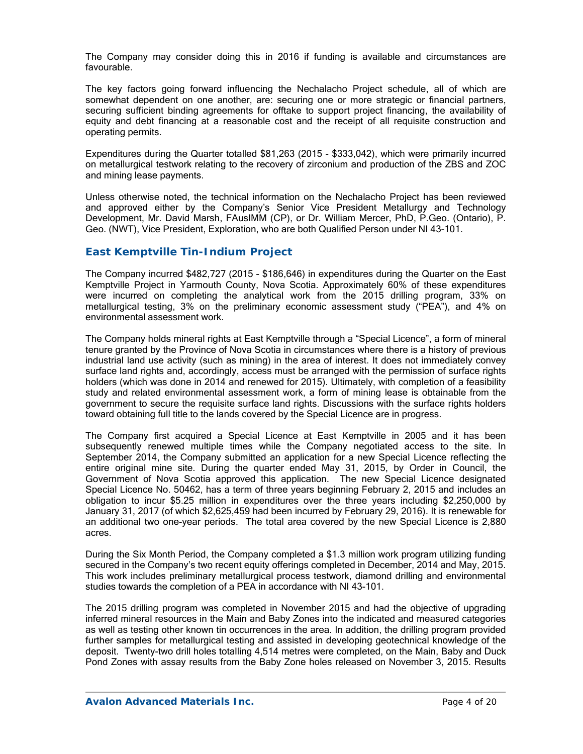The Company may consider doing this in 2016 if funding is available and circumstances are favourable.

The key factors going forward influencing the Nechalacho Project schedule, all of which are somewhat dependent on one another, are: securing one or more strategic or financial partners, securing sufficient binding agreements for offtake to support project financing, the availability of equity and debt financing at a reasonable cost and the receipt of all requisite construction and operating permits.

Expenditures during the Quarter totalled \$81,263 (2015 - \$333,042), which were primarily incurred on metallurgical testwork relating to the recovery of zirconium and production of the ZBS and ZOC and mining lease payments.

Unless otherwise noted, the technical information on the Nechalacho Project has been reviewed and approved either by the Company's Senior Vice President Metallurgy and Technology Development, Mr. David Marsh, FAusIMM (CP), or Dr. William Mercer, PhD, P.Geo. (Ontario), P. Geo. (NWT), Vice President, Exploration, who are both Qualified Person under NI 43-101.

### *East Kemptville Tin-Indium Project*

The Company incurred \$482,727 (2015 - \$186,646) in expenditures during the Quarter on the East Kemptville Project in Yarmouth County, Nova Scotia. Approximately 60% of these expenditures were incurred on completing the analytical work from the 2015 drilling program, 33% on metallurgical testing, 3% on the preliminary economic assessment study ("PEA"), and 4% on environmental assessment work.

The Company holds mineral rights at East Kemptville through a "Special Licence", a form of mineral tenure granted by the Province of Nova Scotia in circumstances where there is a history of previous industrial land use activity (such as mining) in the area of interest. It does not immediately convey surface land rights and, accordingly, access must be arranged with the permission of surface rights holders (which was done in 2014 and renewed for 2015). Ultimately, with completion of a feasibility study and related environmental assessment work, a form of mining lease is obtainable from the government to secure the requisite surface land rights. Discussions with the surface rights holders toward obtaining full title to the lands covered by the Special Licence are in progress.

The Company first acquired a Special Licence at East Kemptville in 2005 and it has been subsequently renewed multiple times while the Company negotiated access to the site. In September 2014, the Company submitted an application for a new Special Licence reflecting the entire original mine site. During the quarter ended May 31, 2015, by Order in Council, the Government of Nova Scotia approved this application. The new Special Licence designated Special Licence No. 50462, has a term of three years beginning February 2, 2015 and includes an obligation to incur \$5.25 million in expenditures over the three years including \$2,250,000 by January 31, 2017 (of which \$2,625,459 had been incurred by February 29, 2016). It is renewable for an additional two one-year periods. The total area covered by the new Special Licence is 2,880 acres.

During the Six Month Period, the Company completed a \$1.3 million work program utilizing funding secured in the Company's two recent equity offerings completed in December, 2014 and May, 2015. This work includes preliminary metallurgical process testwork, diamond drilling and environmental studies towards the completion of a PEA in accordance with NI 43-101.

The 2015 drilling program was completed in November 2015 and had the objective of upgrading inferred mineral resources in the Main and Baby Zones into the indicated and measured categories as well as testing other known tin occurrences in the area. In addition, the drilling program provided further samples for metallurgical testing and assisted in developing geotechnical knowledge of the deposit. Twenty-two drill holes totalling 4,514 metres were completed, on the Main, Baby and Duck Pond Zones with assay results from the Baby Zone holes released on November 3, 2015. Results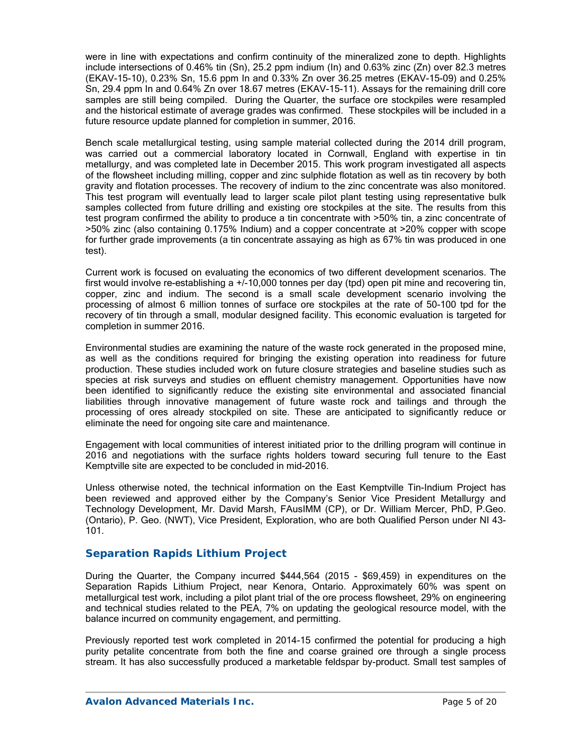were in line with expectations and confirm continuity of the mineralized zone to depth. Highlights include intersections of 0.46% tin (Sn), 25.2 ppm indium (In) and 0.63% zinc (Zn) over 82.3 metres (EKAV-15-10), 0.23% Sn, 15.6 ppm In and 0.33% Zn over 36.25 metres (EKAV-15-09) and 0.25% Sn, 29.4 ppm In and 0.64% Zn over 18.67 metres (EKAV-15-11). Assays for the remaining drill core samples are still being compiled. During the Quarter, the surface ore stockpiles were resampled and the historical estimate of average grades was confirmed. These stockpiles will be included in a future resource update planned for completion in summer, 2016.

Bench scale metallurgical testing, using sample material collected during the 2014 drill program, was carried out a commercial laboratory located in Cornwall, England with expertise in tin metallurgy, and was completed late in December 2015. This work program investigated all aspects of the flowsheet including milling, copper and zinc sulphide flotation as well as tin recovery by both gravity and flotation processes. The recovery of indium to the zinc concentrate was also monitored. This test program will eventually lead to larger scale pilot plant testing using representative bulk samples collected from future drilling and existing ore stockpiles at the site. The results from this test program confirmed the ability to produce a tin concentrate with >50% tin, a zinc concentrate of >50% zinc (also containing 0.175% Indium) and a copper concentrate at >20% copper with scope for further grade improvements (a tin concentrate assaying as high as 67% tin was produced in one test).

Current work is focused on evaluating the economics of two different development scenarios. The first would involve re-establishing a +/-10,000 tonnes per day (tpd) open pit mine and recovering tin, copper, zinc and indium. The second is a small scale development scenario involving the processing of almost 6 million tonnes of surface ore stockpiles at the rate of 50-100 tpd for the recovery of tin through a small, modular designed facility. This economic evaluation is targeted for completion in summer 2016.

Environmental studies are examining the nature of the waste rock generated in the proposed mine, as well as the conditions required for bringing the existing operation into readiness for future production. These studies included work on future closure strategies and baseline studies such as species at risk surveys and studies on effluent chemistry management. Opportunities have now been identified to significantly reduce the existing site environmental and associated financial liabilities through innovative management of future waste rock and tailings and through the processing of ores already stockpiled on site. These are anticipated to significantly reduce or eliminate the need for ongoing site care and maintenance.

Engagement with local communities of interest initiated prior to the drilling program will continue in 2016 and negotiations with the surface rights holders toward securing full tenure to the East Kemptville site are expected to be concluded in mid-2016.

Unless otherwise noted, the technical information on the East Kemptville Tin-Indium Project has been reviewed and approved either by the Company's Senior Vice President Metallurgy and Technology Development, Mr. David Marsh, FAusIMM (CP), or Dr. William Mercer, PhD, P.Geo. (Ontario), P. Geo. (NWT), Vice President, Exploration, who are both Qualified Person under NI 43- 101.

### *Separation Rapids Lithium Project*

During the Quarter, the Company incurred \$444,564 (2015 - \$69,459) in expenditures on the Separation Rapids Lithium Project, near Kenora, Ontario. Approximately 60% was spent on metallurgical test work, including a pilot plant trial of the ore process flowsheet, 29% on engineering and technical studies related to the PEA, 7% on updating the geological resource model, with the balance incurred on community engagement, and permitting.

Previously reported test work completed in 2014-15 confirmed the potential for producing a high purity petalite concentrate from both the fine and coarse grained ore through a single process stream. It has also successfully produced a marketable feldspar by-product. Small test samples of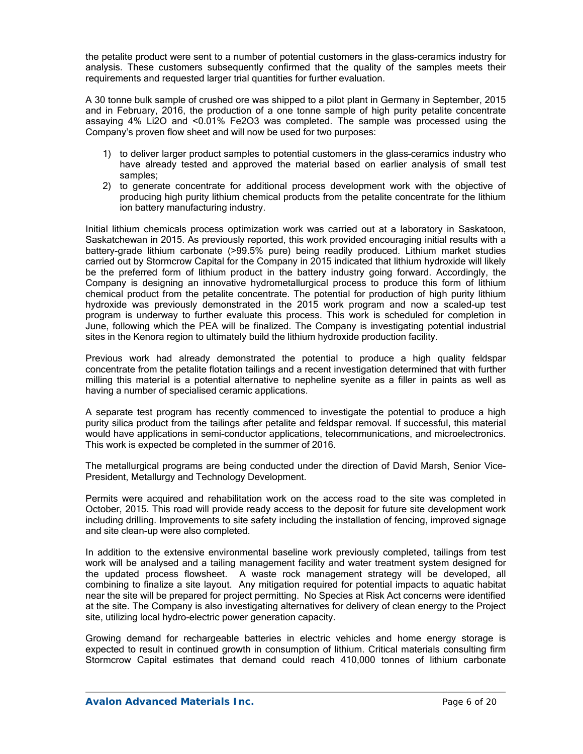the petalite product were sent to a number of potential customers in the glass-ceramics industry for analysis. These customers subsequently confirmed that the quality of the samples meets their requirements and requested larger trial quantities for further evaluation.

A 30 tonne bulk sample of crushed ore was shipped to a pilot plant in Germany in September, 2015 and in February, 2016, the production of a one tonne sample of high purity petalite concentrate assaying 4% Li2O and <0.01% Fe2O3 was completed. The sample was processed using the Company's proven flow sheet and will now be used for two purposes:

- 1) to deliver larger product samples to potential customers in the glass–ceramics industry who have already tested and approved the material based on earlier analysis of small test samples;
- 2) to generate concentrate for additional process development work with the objective of producing high purity lithium chemical products from the petalite concentrate for the lithium ion battery manufacturing industry.

Initial lithium chemicals process optimization work was carried out at a laboratory in Saskatoon, Saskatchewan in 2015. As previously reported, this work provided encouraging initial results with a battery-grade lithium carbonate (>99.5% pure) being readily produced. Lithium market studies carried out by Stormcrow Capital for the Company in 2015 indicated that lithium hydroxide will likely be the preferred form of lithium product in the battery industry going forward. Accordingly, the Company is designing an innovative hydrometallurgical process to produce this form of lithium chemical product from the petalite concentrate. The potential for production of high purity lithium hydroxide was previously demonstrated in the 2015 work program and now a scaled-up test program is underway to further evaluate this process. This work is scheduled for completion in June, following which the PEA will be finalized. The Company is investigating potential industrial sites in the Kenora region to ultimately build the lithium hydroxide production facility.

Previous work had already demonstrated the potential to produce a high quality feldspar concentrate from the petalite flotation tailings and a recent investigation determined that with further milling this material is a potential alternative to nepheline syenite as a filler in paints as well as having a number of specialised ceramic applications.

A separate test program has recently commenced to investigate the potential to produce a high purity silica product from the tailings after petalite and feldspar removal. If successful, this material would have applications in semi-conductor applications, telecommunications, and microelectronics. This work is expected be completed in the summer of 2016.

The metallurgical programs are being conducted under the direction of David Marsh, Senior Vice-President, Metallurgy and Technology Development.

Permits were acquired and rehabilitation work on the access road to the site was completed in October, 2015. This road will provide ready access to the deposit for future site development work including drilling. Improvements to site safety including the installation of fencing, improved signage and site clean-up were also completed.

In addition to the extensive environmental baseline work previously completed, tailings from test work will be analysed and a tailing management facility and water treatment system designed for the updated process flowsheet. A waste rock management strategy will be developed, all combining to finalize a site layout. Any mitigation required for potential impacts to aquatic habitat near the site will be prepared for project permitting. No Species at Risk Act concerns were identified at the site. The Company is also investigating alternatives for delivery of clean energy to the Project site, utilizing local hydro-electric power generation capacity.

Growing demand for rechargeable batteries in electric vehicles and home energy storage is expected to result in continued growth in consumption of lithium. Critical materials consulting firm Stormcrow Capital estimates that demand could reach 410,000 tonnes of lithium carbonate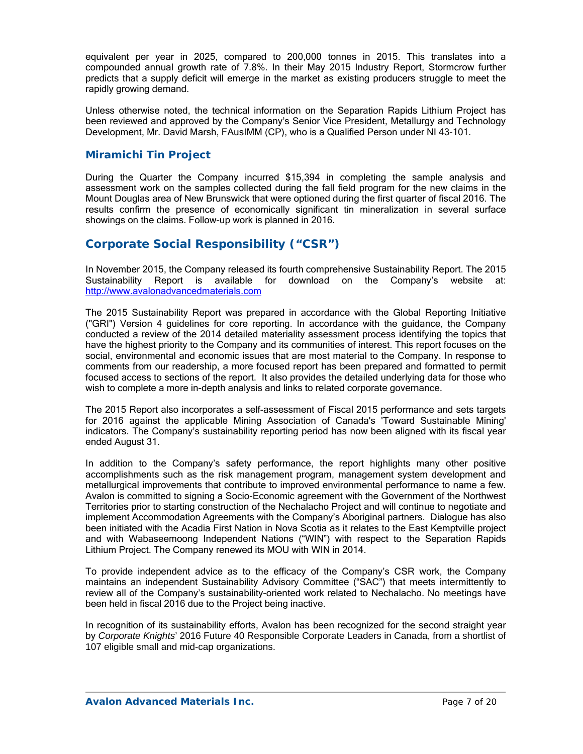equivalent per year in 2025, compared to 200,000 tonnes in 2015. This translates into a compounded annual growth rate of 7.8%. In their May 2015 Industry Report, Stormcrow further predicts that a supply deficit will emerge in the market as existing producers struggle to meet the rapidly growing demand.

Unless otherwise noted, the technical information on the Separation Rapids Lithium Project has been reviewed and approved by the Company's Senior Vice President, Metallurgy and Technology Development, Mr. David Marsh, FAusIMM (CP), who is a Qualified Person under NI 43-101.

### *Miramichi Tin Project*

During the Quarter the Company incurred \$15,394 in completing the sample analysis and assessment work on the samples collected during the fall field program for the new claims in the Mount Douglas area of New Brunswick that were optioned during the first quarter of fiscal 2016. The results confirm the presence of economically significant tin mineralization in several surface showings on the claims. Follow-up work is planned in 2016.

## **Corporate Social Responsibility ("CSR")**

In November 2015, the Company released its fourth comprehensive Sustainability Report. The 2015 Sustainability Report is available for download on the Company's website at: http://www.avalonadvancedmaterials.com

The 2015 Sustainability Report was prepared in accordance with the Global Reporting Initiative ("GRI") Version 4 guidelines for core reporting. In accordance with the guidance, the Company conducted a review of the 2014 detailed materiality assessment process identifying the topics that have the highest priority to the Company and its communities of interest. This report focuses on the social, environmental and economic issues that are most material to the Company. In response to comments from our readership, a more focused report has been prepared and formatted to permit focused access to sections of the report. It also provides the detailed underlying data for those who wish to complete a more in-depth analysis and links to related corporate governance.

The 2015 Report also incorporates a self-assessment of Fiscal 2015 performance and sets targets for 2016 against the applicable Mining Association of Canada's 'Toward Sustainable Mining' indicators. The Company's sustainability reporting period has now been aligned with its fiscal year ended August 31.

In addition to the Company's safety performance, the report highlights many other positive accomplishments such as the risk management program, management system development and metallurgical improvements that contribute to improved environmental performance to name a few. Avalon is committed to signing a Socio-Economic agreement with the Government of the Northwest Territories prior to starting construction of the Nechalacho Project and will continue to negotiate and implement Accommodation Agreements with the Company's Aboriginal partners. Dialogue has also been initiated with the Acadia First Nation in Nova Scotia as it relates to the East Kemptville project and with Wabaseemoong Independent Nations ("WIN") with respect to the Separation Rapids Lithium Project. The Company renewed its MOU with WIN in 2014.

To provide independent advice as to the efficacy of the Company's CSR work, the Company maintains an independent Sustainability Advisory Committee ("SAC") that meets intermittently to review all of the Company's sustainability-oriented work related to Nechalacho. No meetings have been held in fiscal 2016 due to the Project being inactive.

In recognition of its sustainability efforts, Avalon has been recognized for the second straight year by *Corporate Knights*' 2016 Future 40 Responsible Corporate Leaders in Canada, from a shortlist of 107 eligible small and mid-cap organizations.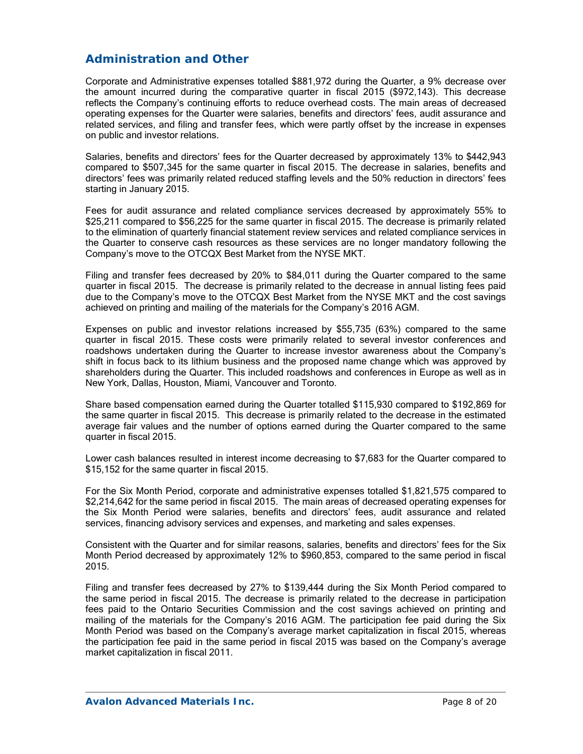# **Administration and Other**

Corporate and Administrative expenses totalled \$881,972 during the Quarter, a 9% decrease over the amount incurred during the comparative quarter in fiscal 2015 (\$972,143). This decrease reflects the Company's continuing efforts to reduce overhead costs. The main areas of decreased operating expenses for the Quarter were salaries, benefits and directors' fees, audit assurance and related services, and filing and transfer fees, which were partly offset by the increase in expenses on public and investor relations.

Salaries, benefits and directors' fees for the Quarter decreased by approximately 13% to \$442,943 compared to \$507,345 for the same quarter in fiscal 2015. The decrease in salaries, benefits and directors' fees was primarily related reduced staffing levels and the 50% reduction in directors' fees starting in January 2015.

Fees for audit assurance and related compliance services decreased by approximately 55% to \$25,211 compared to \$56,225 for the same quarter in fiscal 2015. The decrease is primarily related to the elimination of quarterly financial statement review services and related compliance services in the Quarter to conserve cash resources as these services are no longer mandatory following the Company's move to the OTCQX Best Market from the NYSE MKT.

Filing and transfer fees decreased by 20% to \$84,011 during the Quarter compared to the same quarter in fiscal 2015. The decrease is primarily related to the decrease in annual listing fees paid due to the Company's move to the OTCQX Best Market from the NYSE MKT and the cost savings achieved on printing and mailing of the materials for the Company's 2016 AGM.

Expenses on public and investor relations increased by \$55,735 (63%) compared to the same quarter in fiscal 2015. These costs were primarily related to several investor conferences and roadshows undertaken during the Quarter to increase investor awareness about the Company's shift in focus back to its lithium business and the proposed name change which was approved by shareholders during the Quarter. This included roadshows and conferences in Europe as well as in New York, Dallas, Houston, Miami, Vancouver and Toronto.

Share based compensation earned during the Quarter totalled \$115,930 compared to \$192,869 for the same quarter in fiscal 2015. This decrease is primarily related to the decrease in the estimated average fair values and the number of options earned during the Quarter compared to the same quarter in fiscal 2015.

Lower cash balances resulted in interest income decreasing to \$7,683 for the Quarter compared to \$15,152 for the same quarter in fiscal 2015.

For the Six Month Period, corporate and administrative expenses totalled \$1,821,575 compared to \$2,214,642 for the same period in fiscal 2015. The main areas of decreased operating expenses for the Six Month Period were salaries, benefits and directors' fees, audit assurance and related services, financing advisory services and expenses, and marketing and sales expenses.

Consistent with the Quarter and for similar reasons, salaries, benefits and directors' fees for the Six Month Period decreased by approximately 12% to \$960,853, compared to the same period in fiscal 2015.

Filing and transfer fees decreased by 27% to \$139,444 during the Six Month Period compared to the same period in fiscal 2015. The decrease is primarily related to the decrease in participation fees paid to the Ontario Securities Commission and the cost savings achieved on printing and mailing of the materials for the Company's 2016 AGM. The participation fee paid during the Six Month Period was based on the Company's average market capitalization in fiscal 2015, whereas the participation fee paid in the same period in fiscal 2015 was based on the Company's average market capitalization in fiscal 2011.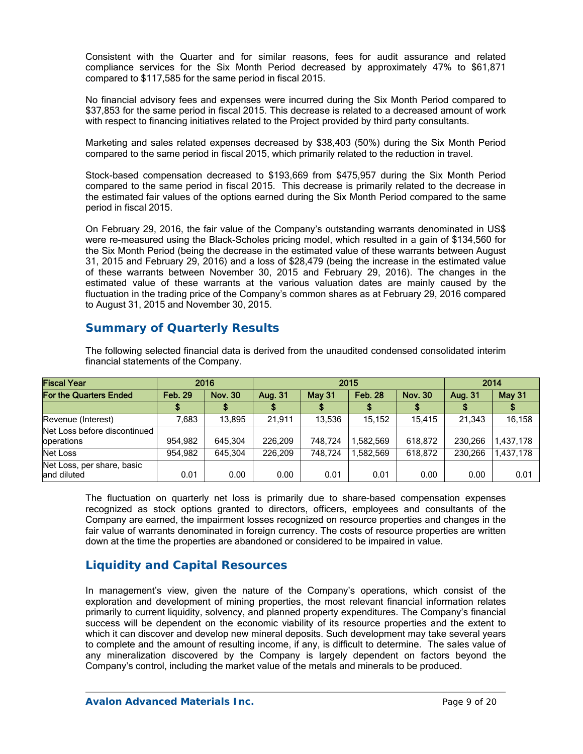Consistent with the Quarter and for similar reasons, fees for audit assurance and related compliance services for the Six Month Period decreased by approximately 47% to \$61,871 compared to \$117,585 for the same period in fiscal 2015.

No financial advisory fees and expenses were incurred during the Six Month Period compared to \$37,853 for the same period in fiscal 2015. This decrease is related to a decreased amount of work with respect to financing initiatives related to the Project provided by third party consultants.

Marketing and sales related expenses decreased by \$38,403 (50%) during the Six Month Period compared to the same period in fiscal 2015, which primarily related to the reduction in travel.

Stock-based compensation decreased to \$193,669 from \$475,957 during the Six Month Period compared to the same period in fiscal 2015. This decrease is primarily related to the decrease in the estimated fair values of the options earned during the Six Month Period compared to the same period in fiscal 2015.

On February 29, 2016, the fair value of the Company's outstanding warrants denominated in US\$ were re-measured using the Black-Scholes pricing model, which resulted in a gain of \$134,560 for the Six Month Period (being the decrease in the estimated value of these warrants between August 31, 2015 and February 29, 2016) and a loss of \$28,479 (being the increase in the estimated value of these warrants between November 30, 2015 and February 29, 2016). The changes in the estimated value of these warrants at the various valuation dates are mainly caused by the fluctuation in the trading price of the Company's common shares as at February 29, 2016 compared to August 31, 2015 and November 30, 2015.

## **Summary of Quarterly Results**

| <b>Fiscal Year</b>                         |                                  | 2015    | 2014    |               |                |                |                |               |  |
|--------------------------------------------|----------------------------------|---------|---------|---------------|----------------|----------------|----------------|---------------|--|
| <b>For the Quarters Ended</b>              | <b>Feb. 29</b><br><b>Nov. 30</b> |         | Aug. 31 | <b>May 31</b> | <b>Feb. 28</b> | <b>Nov. 30</b> | <b>Aug. 31</b> | <b>May 31</b> |  |
|                                            |                                  |         |         |               |                |                |                |               |  |
| Revenue (Interest)                         | 583,                             | 13.895  | 21.911  | 13.536        | 15.152         | 15.415         | 21.343         | 16,158        |  |
| Net Loss before discontinued<br>operations | 954.982                          | 645.304 | 226.209 | 748.724       | 1.582.569      | 618.872        | 230.266        | 1,437,178     |  |
| Net Loss                                   | 954.982                          | 645.304 | 226.209 | 748.724       | 1.582.569      | 618.872        | 230.266        | 1.437.178     |  |
| Net Loss, per share, basic<br>and diluted  | 0.01                             | 0.00    | 0.00    | 0.01          | 0.01           | 0.00           | 0.00           | 0.01          |  |

The following selected financial data is derived from the unaudited condensed consolidated interim financial statements of the Company.

The fluctuation on quarterly net loss is primarily due to share-based compensation expenses recognized as stock options granted to directors, officers, employees and consultants of the Company are earned, the impairment losses recognized on resource properties and changes in the fair value of warrants denominated in foreign currency. The costs of resource properties are written down at the time the properties are abandoned or considered to be impaired in value.

# **Liquidity and Capital Resources**

In management's view, given the nature of the Company's operations, which consist of the exploration and development of mining properties, the most relevant financial information relates primarily to current liquidity, solvency, and planned property expenditures. The Company's financial success will be dependent on the economic viability of its resource properties and the extent to which it can discover and develop new mineral deposits. Such development may take several years to complete and the amount of resulting income, if any, is difficult to determine. The sales value of any mineralization discovered by the Company is largely dependent on factors beyond the Company's control, including the market value of the metals and minerals to be produced.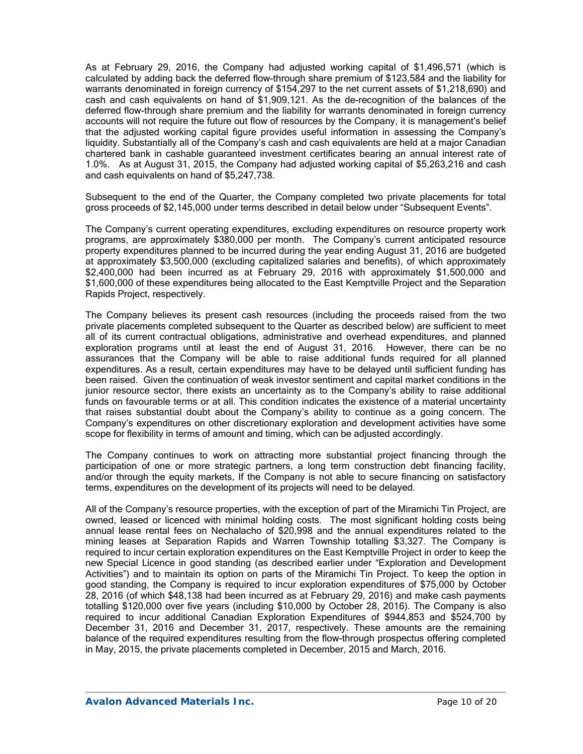As at February 29, 2016, the Company had adjusted working capital of \$1,496,571 (which is calculated by adding back the deferred flow-through share premium of \$123,584 and the liability for warrants denominated in foreign currency of \$154,297 to the net current assets of \$1,218,690) and cash and cash equivalents on hand of \$1,909,121. As the de-recognition of the balances of the deferred flow-through share premium and the liability for warrants denominated in foreign currency accounts will not require the future out flow of resources by the Company, it is management's belief that the adjusted working capital figure provides useful information in assessing the Company's liquidity. Substantially all of the Company's cash and cash equivalents are held at a major Canadian chartered bank in cashable guaranteed investment certificates bearing an annual interest rate of 1.0%. As at August 31, 2015, the Company had adjusted working capital of \$5,263,216 and cash and cash equivalents on hand of \$5,247,738.

Subsequent to the end of the Quarter, the Company completed two private placements for total gross proceeds of \$2,145,000 under terms described in detail below under "Subsequent Events".

The Company's current operating expenditures, excluding expenditures on resource property work programs, are approximately \$380,000 per month. The Company's current anticipated resource property expenditures planned to be incurred during the year ending August 31, 2016 are budgeted at approximately \$3,500,000 (excluding capitalized salaries and benefits), of which approximately \$2,400,000 had been incurred as at February 29, 2016 with approximately \$1,500,000 and \$1,600,000 of these expenditures being allocated to the East Kemptville Project and the Separation Rapids Project, respectively.

The Company believes its present cash resources (including the proceeds raised from the two private placements completed subsequent to the Quarter as described below) are sufficient to meet all of its current contractual obligations, administrative and overhead expenditures, and planned exploration programs until at least the end of August 31, 2016. However, there can be no assurances that the Company will be able to raise additional funds required for all planned expenditures. As a result, certain expenditures may have to be delayed until sufficient funding has been raised. Given the continuation of weak investor sentiment and capital market conditions in the junior resource sector, there exists an uncertainty as to the Company's ability to raise additional funds on favourable terms or at all. This condition indicates the existence of a material uncertainty that raises substantial doubt about the Company's ability to continue as a going concern. The Company's expenditures on other discretionary exploration and development activities have some scope for flexibility in terms of amount and timing, which can be adjusted accordingly.

The Company continues to work on attracting more substantial project financing through the participation of one or more strategic partners, a long term construction debt financing facility, and/or through the equity markets. If the Company is not able to secure financing on satisfactory terms, expenditures on the development of its projects will need to be delayed.

All of the Company's resource properties, with the exception of part of the Miramichi Tin Project, are owned, leased or licenced with minimal holding costs. The most significant holding costs being annual lease rental fees on Nechalacho of \$20,998 and the annual expenditures related to the mining leases at Separation Rapids and Warren Township totalling \$3,327. The Company is required to incur certain exploration expenditures on the East Kemptville Project in order to keep the new Special Licence in good standing (as described earlier under "Exploration and Development Activities") and to maintain its option on parts of the Miramichi Tin Project. To keep the option in good standing, the Company is required to incur exploration expenditures of \$75,000 by October 28, 2016 (of which \$48,138 had been incurred as at February 29, 2016) and make cash payments totalling \$120,000 over five years (including \$10,000 by October 28, 2016). The Company is also required to incur additional Canadian Exploration Expenditures of \$944,853 and \$524,700 by December 31, 2016 and December 31, 2017, respectively. These amounts are the remaining balance of the required expenditures resulting from the flow-through prospectus offering completed in May, 2015, the private placements completed in December, 2015 and March, 2016.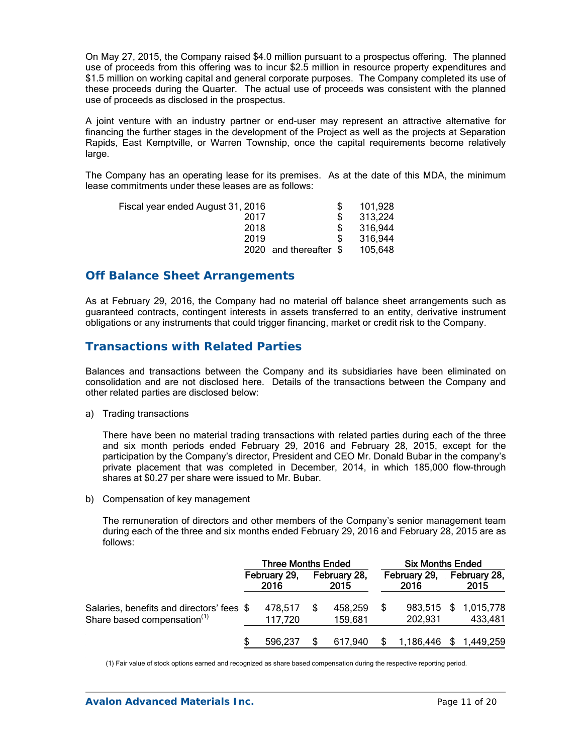On May 27, 2015, the Company raised \$4.0 million pursuant to a prospectus offering. The planned use of proceeds from this offering was to incur \$2.5 million in resource property expenditures and \$1.5 million on working capital and general corporate purposes. The Company completed its use of these proceeds during the Quarter. The actual use of proceeds was consistent with the planned use of proceeds as disclosed in the prospectus.

A joint venture with an industry partner or end-user may represent an attractive alternative for financing the further stages in the development of the Project as well as the projects at Separation Rapids, East Kemptville, or Warren Township, once the capital requirements become relatively large.

The Company has an operating lease for its premises. As at the date of this MDA, the minimum lease commitments under these leases are as follows:

| 101,928                 |
|-------------------------|
| 313,224                 |
| 316.944                 |
| 316.944                 |
| 105.648                 |
| 2020 and thereafter $$$ |

### **Off Balance Sheet Arrangements**

As at February 29, 2016, the Company had no material off balance sheet arrangements such as guaranteed contracts, contingent interests in assets transferred to an entity, derivative instrument obligations or any instruments that could trigger financing, market or credit risk to the Company.

### **Transactions with Related Parties**

Balances and transactions between the Company and its subsidiaries have been eliminated on consolidation and are not disclosed here. Details of the transactions between the Company and other related parties are disclosed below:

a) Trading transactions

There have been no material trading transactions with related parties during each of the three and six month periods ended February 29, 2016 and February 28, 2015, except for the participation by the Company's director, President and CEO Mr. Donald Bubar in the company's private placement that was completed in December, 2014, in which 185,000 flow-through shares at \$0.27 per share were issued to Mr. Bubar.

b) Compensation of key management

The remuneration of directors and other members of the Company's senior management team during each of the three and six months ended February 29, 2016 and February 28, 2015 are as follows:

|                                           | <b>Three Months Ended</b> |                      |  |                      | <b>Six Months Ended</b> |                      |  |                        |
|-------------------------------------------|---------------------------|----------------------|--|----------------------|-------------------------|----------------------|--|------------------------|
|                                           |                           | February 29,<br>2016 |  | February 28,<br>2015 |                         | February 29,<br>2016 |  | February 28,<br>2015   |
| Salaries, benefits and directors' fees \$ |                           | 478,517              |  | 458,259              | \$.                     |                      |  | 983,515 \$ 1,015,778   |
| Share based compensation <sup>(1)</sup>   |                           | 117,720              |  | 159,681              |                         | 202,931              |  | 433,481                |
|                                           | S                         | 596.237              |  | 617.940              |                         |                      |  | 1,186,446 \$ 1,449,259 |

(1) Fair value of stock options earned and recognized as share based compensation during the respective reporting period.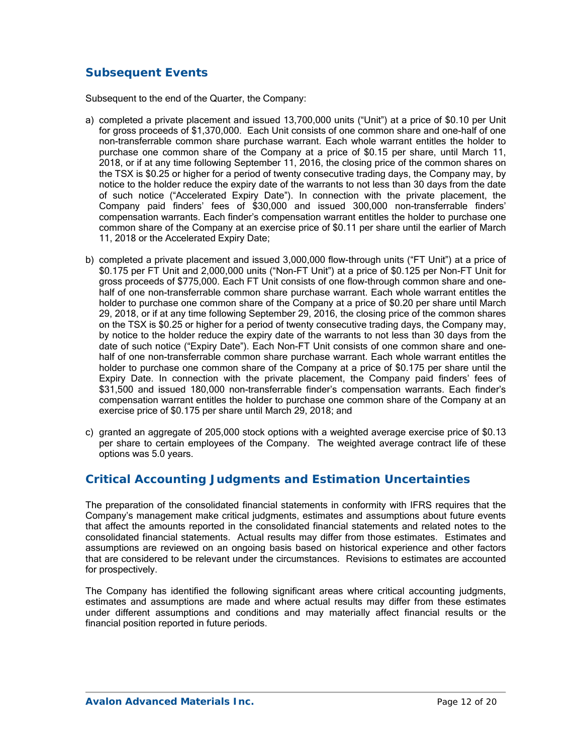# **Subsequent Events**

Subsequent to the end of the Quarter, the Company:

- a) completed a private placement and issued 13,700,000 units ("Unit") at a price of \$0.10 per Unit for gross proceeds of \$1,370,000. Each Unit consists of one common share and one-half of one non-transferrable common share purchase warrant. Each whole warrant entitles the holder to purchase one common share of the Company at a price of \$0.15 per share, until March 11, 2018, or if at any time following September 11, 2016, the closing price of the common shares on the TSX is \$0.25 or higher for a period of twenty consecutive trading days, the Company may, by notice to the holder reduce the expiry date of the warrants to not less than 30 days from the date of such notice ("Accelerated Expiry Date"). In connection with the private placement, the Company paid finders' fees of \$30,000 and issued 300,000 non-transferrable finders' compensation warrants. Each finder's compensation warrant entitles the holder to purchase one common share of the Company at an exercise price of \$0.11 per share until the earlier of March 11, 2018 or the Accelerated Expiry Date;
- b) completed a private placement and issued 3,000,000 flow-through units ("FT Unit") at a price of \$0.175 per FT Unit and 2,000,000 units ("Non-FT Unit") at a price of \$0.125 per Non-FT Unit for gross proceeds of \$775,000. Each FT Unit consists of one flow-through common share and onehalf of one non-transferrable common share purchase warrant. Each whole warrant entitles the holder to purchase one common share of the Company at a price of \$0.20 per share until March 29, 2018, or if at any time following September 29, 2016, the closing price of the common shares on the TSX is \$0.25 or higher for a period of twenty consecutive trading days, the Company may, by notice to the holder reduce the expiry date of the warrants to not less than 30 days from the date of such notice ("Expiry Date"). Each Non-FT Unit consists of one common share and onehalf of one non-transferrable common share purchase warrant. Each whole warrant entitles the holder to purchase one common share of the Company at a price of \$0.175 per share until the Expiry Date. In connection with the private placement, the Company paid finders' fees of \$31,500 and issued 180,000 non-transferrable finder's compensation warrants. Each finder's compensation warrant entitles the holder to purchase one common share of the Company at an exercise price of \$0.175 per share until March 29, 2018; and
- c) granted an aggregate of 205,000 stock options with a weighted average exercise price of \$0.13 per share to certain employees of the Company. The weighted average contract life of these options was 5.0 years.

# **Critical Accounting Judgments and Estimation Uncertainties**

The preparation of the consolidated financial statements in conformity with IFRS requires that the Company's management make critical judgments, estimates and assumptions about future events that affect the amounts reported in the consolidated financial statements and related notes to the consolidated financial statements. Actual results may differ from those estimates. Estimates and assumptions are reviewed on an ongoing basis based on historical experience and other factors that are considered to be relevant under the circumstances. Revisions to estimates are accounted for prospectively.

The Company has identified the following significant areas where critical accounting judgments, estimates and assumptions are made and where actual results may differ from these estimates under different assumptions and conditions and may materially affect financial results or the financial position reported in future periods.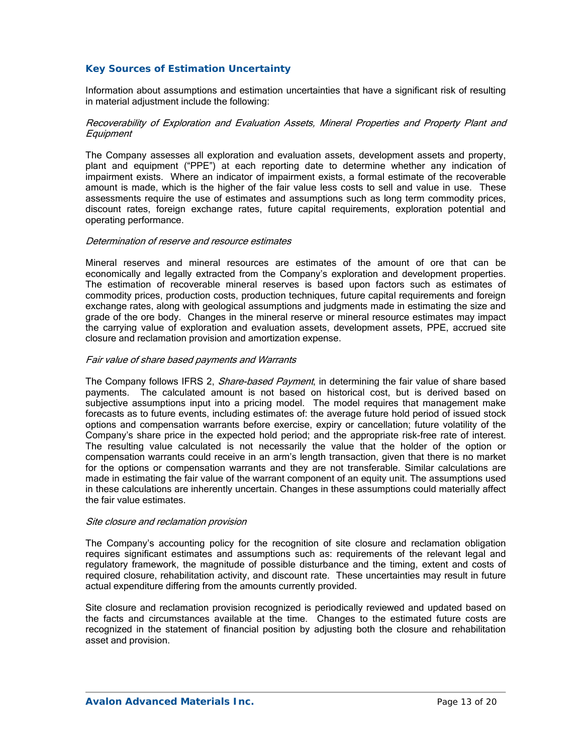### *Key Sources of Estimation Uncertainty*

Information about assumptions and estimation uncertainties that have a significant risk of resulting in material adjustment include the following:

#### Recoverability of Exploration and Evaluation Assets, Mineral Properties and Property Plant and **Equipment**

The Company assesses all exploration and evaluation assets, development assets and property, plant and equipment ("PPE") at each reporting date to determine whether any indication of impairment exists. Where an indicator of impairment exists, a formal estimate of the recoverable amount is made, which is the higher of the fair value less costs to sell and value in use. These assessments require the use of estimates and assumptions such as long term commodity prices, discount rates, foreign exchange rates, future capital requirements, exploration potential and operating performance.

#### Determination of reserve and resource estimates

Mineral reserves and mineral resources are estimates of the amount of ore that can be economically and legally extracted from the Company's exploration and development properties. The estimation of recoverable mineral reserves is based upon factors such as estimates of commodity prices, production costs, production techniques, future capital requirements and foreign exchange rates, along with geological assumptions and judgments made in estimating the size and grade of the ore body. Changes in the mineral reserve or mineral resource estimates may impact the carrying value of exploration and evaluation assets, development assets, PPE, accrued site closure and reclamation provision and amortization expense.

#### Fair value of share based payments and Warrants

The Company follows IFRS 2, Share-based Payment, in determining the fair value of share based payments. The calculated amount is not based on historical cost, but is derived based on subjective assumptions input into a pricing model. The model requires that management make forecasts as to future events, including estimates of: the average future hold period of issued stock options and compensation warrants before exercise, expiry or cancellation; future volatility of the Company's share price in the expected hold period; and the appropriate risk-free rate of interest. The resulting value calculated is not necessarily the value that the holder of the option or compensation warrants could receive in an arm's length transaction, given that there is no market for the options or compensation warrants and they are not transferable. Similar calculations are made in estimating the fair value of the warrant component of an equity unit. The assumptions used in these calculations are inherently uncertain. Changes in these assumptions could materially affect the fair value estimates.

#### Site closure and reclamation provision

The Company's accounting policy for the recognition of site closure and reclamation obligation requires significant estimates and assumptions such as: requirements of the relevant legal and regulatory framework, the magnitude of possible disturbance and the timing, extent and costs of required closure, rehabilitation activity, and discount rate. These uncertainties may result in future actual expenditure differing from the amounts currently provided.

Site closure and reclamation provision recognized is periodically reviewed and updated based on the facts and circumstances available at the time. Changes to the estimated future costs are recognized in the statement of financial position by adjusting both the closure and rehabilitation asset and provision.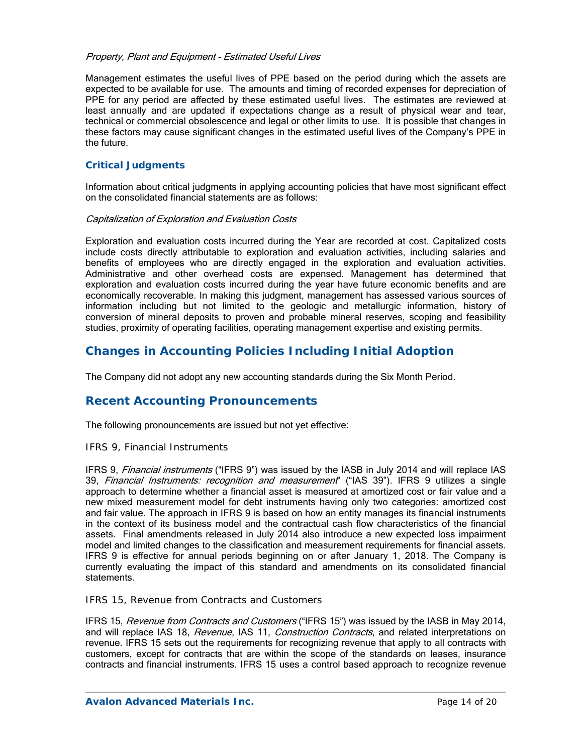#### Property, Plant and Equipment - Estimated Useful Lives

Management estimates the useful lives of PPE based on the period during which the assets are expected to be available for use. The amounts and timing of recorded expenses for depreciation of PPE for any period are affected by these estimated useful lives. The estimates are reviewed at least annually and are updated if expectations change as a result of physical wear and tear, technical or commercial obsolescence and legal or other limits to use. It is possible that changes in these factors may cause significant changes in the estimated useful lives of the Company's PPE in the future.

### *Critical Judgments*

Information about critical judgments in applying accounting policies that have most significant effect on the consolidated financial statements are as follows:

#### Capitalization of Exploration and Evaluation Costs

Exploration and evaluation costs incurred during the Year are recorded at cost. Capitalized costs include costs directly attributable to exploration and evaluation activities, including salaries and benefits of employees who are directly engaged in the exploration and evaluation activities. Administrative and other overhead costs are expensed. Management has determined that exploration and evaluation costs incurred during the year have future economic benefits and are economically recoverable. In making this judgment, management has assessed various sources of information including but not limited to the geologic and metallurgic information, history of conversion of mineral deposits to proven and probable mineral reserves, scoping and feasibility studies, proximity of operating facilities, operating management expertise and existing permits.

## **Changes in Accounting Policies Including Initial Adoption**

The Company did not adopt any new accounting standards during the Six Month Period.

# **Recent Accounting Pronouncements**

The following pronouncements are issued but not yet effective:

### *IFRS 9, Financial Instruments*

IFRS 9, *Financial instruments* ("IFRS 9") was issued by the IASB in July 2014 and will replace IAS 39, Financial Instruments: recognition and measurement" ("IAS 39"). IFRS 9 utilizes a single approach to determine whether a financial asset is measured at amortized cost or fair value and a new mixed measurement model for debt instruments having only two categories: amortized cost and fair value. The approach in IFRS 9 is based on how an entity manages its financial instruments in the context of its business model and the contractual cash flow characteristics of the financial assets. Final amendments released in July 2014 also introduce a new expected loss impairment model and limited changes to the classification and measurement requirements for financial assets. IFRS 9 is effective for annual periods beginning on or after January 1, 2018. The Company is currently evaluating the impact of this standard and amendments on its consolidated financial statements.

### *IFRS 15, Revenue from Contracts and Customers*

IFRS 15, Revenue from Contracts and Customers ("IFRS 15") was issued by the IASB in May 2014, and will replace IAS 18, Revenue, IAS 11, Construction Contracts, and related interpretations on revenue. IFRS 15 sets out the requirements for recognizing revenue that apply to all contracts with customers, except for contracts that are within the scope of the standards on leases, insurance contracts and financial instruments. IFRS 15 uses a control based approach to recognize revenue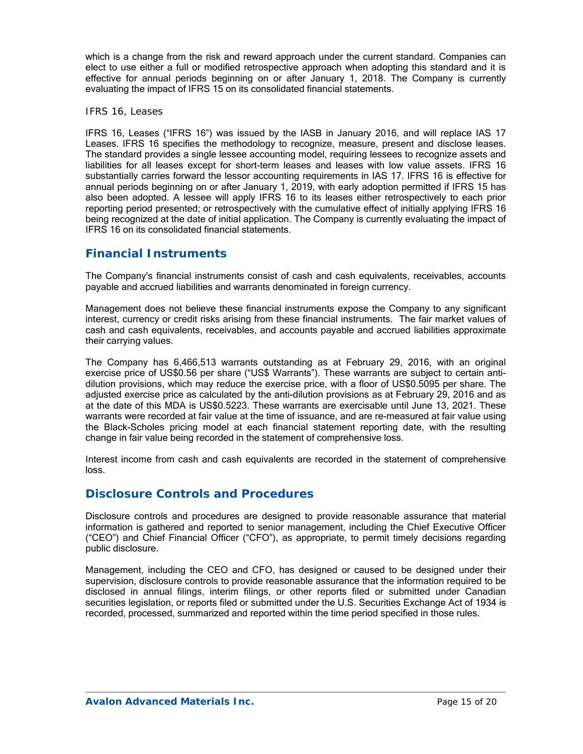which is a change from the risk and reward approach under the current standard. Companies can elect to use either a full or modified retrospective approach when adopting this standard and it is effective for annual periods beginning on or after January 1, 2018. The Company is currently evaluating the impact of IFRS 15 on its consolidated financial statements.

### *IFRS 16, Leases*

IFRS 16, Leases ("IFRS 16") was issued by the IASB in January 2016, and will replace IAS 17 Leases. IFRS 16 specifies the methodology to recognize, measure, present and disclose leases. The standard provides a single lessee accounting model, requiring lessees to recognize assets and liabilities for all leases except for short-term leases and leases with low value assets. IFRS 16 substantially carries forward the lessor accounting requirements in IAS 17. IFRS 16 is effective for annual periods beginning on or after January 1, 2019, with early adoption permitted if IFRS 15 has also been adopted. A lessee will apply IFRS 16 to its leases either retrospectively to each prior reporting period presented; or retrospectively with the cumulative effect of initially applying IFRS 16 being recognized at the date of initial application. The Company is currently evaluating the impact of IFRS 16 on its consolidated financial statements.

## **Financial Instruments**

The Company's financial instruments consist of cash and cash equivalents, receivables, accounts payable and accrued liabilities and warrants denominated in foreign currency.

Management does not believe these financial instruments expose the Company to any significant interest, currency or credit risks arising from these financial instruments. The fair market values of cash and cash equivalents, receivables, and accounts payable and accrued liabilities approximate their carrying values.

The Company has 6,466,513 warrants outstanding as at February 29, 2016, with an original exercise price of US\$0.56 per share ("US\$ Warrants"). These warrants are subject to certain antidilution provisions, which may reduce the exercise price, with a floor of US\$0.5095 per share. The adjusted exercise price as calculated by the anti-dilution provisions as at February 29, 2016 and as at the date of this MDA is US\$0.5223. These warrants are exercisable until June 13, 2021. These warrants were recorded at fair value at the time of issuance, and are re-measured at fair value using the Black-Scholes pricing model at each financial statement reporting date, with the resulting change in fair value being recorded in the statement of comprehensive loss.

Interest income from cash and cash equivalents are recorded in the statement of comprehensive loss.

## **Disclosure Controls and Procedures**

Disclosure controls and procedures are designed to provide reasonable assurance that material information is gathered and reported to senior management, including the Chief Executive Officer ("CEO") and Chief Financial Officer ("CFO"), as appropriate, to permit timely decisions regarding public disclosure.

Management, including the CEO and CFO, has designed or caused to be designed under their supervision, disclosure controls to provide reasonable assurance that the information required to be disclosed in annual filings, interim filings, or other reports filed or submitted under Canadian securities legislation, or reports filed or submitted under the U.S. Securities Exchange Act of 1934 is recorded, processed, summarized and reported within the time period specified in those rules.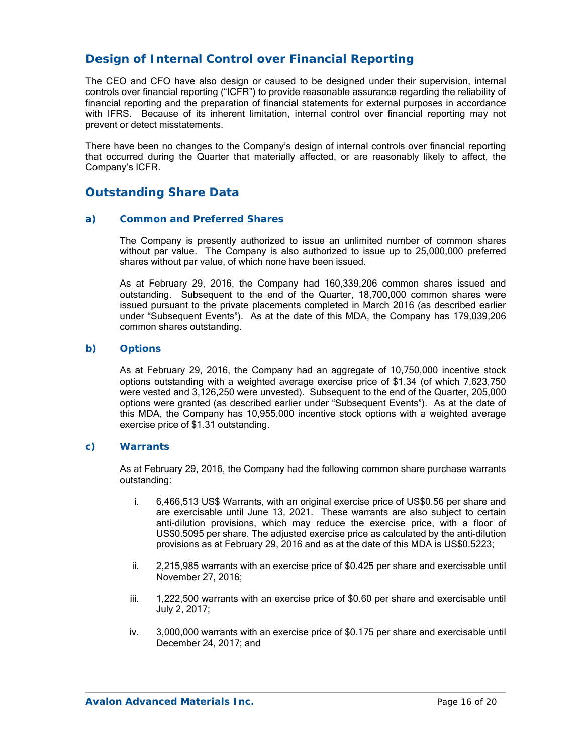# **Design of Internal Control over Financial Reporting**

The CEO and CFO have also design or caused to be designed under their supervision, internal controls over financial reporting ("ICFR") to provide reasonable assurance regarding the reliability of financial reporting and the preparation of financial statements for external purposes in accordance with IFRS. Because of its inherent limitation, internal control over financial reporting may not prevent or detect misstatements.

There have been no changes to the Company's design of internal controls over financial reporting that occurred during the Quarter that materially affected, or are reasonably likely to affect, the Company's ICFR.

## **Outstanding Share Data**

#### *a) Common and Preferred Shares*

The Company is presently authorized to issue an unlimited number of common shares without par value. The Company is also authorized to issue up to 25,000,000 preferred shares without par value, of which none have been issued.

As at February 29, 2016, the Company had 160,339,206 common shares issued and outstanding. Subsequent to the end of the Quarter, 18,700,000 common shares were issued pursuant to the private placements completed in March 2016 (as described earlier under "Subsequent Events"). As at the date of this MDA, the Company has 179,039,206 common shares outstanding.

### *b) Options*

As at February 29, 2016, the Company had an aggregate of 10,750,000 incentive stock options outstanding with a weighted average exercise price of \$1.34 (of which 7,623,750 were vested and 3,126,250 were unvested). Subsequent to the end of the Quarter, 205,000 options were granted (as described earlier under "Subsequent Events"). As at the date of this MDA, the Company has 10,955,000 incentive stock options with a weighted average exercise price of \$1.31 outstanding.

### *c) Warrants*

As at February 29, 2016, the Company had the following common share purchase warrants outstanding:

- i. 6,466,513 US\$ Warrants, with an original exercise price of US\$0.56 per share and are exercisable until June 13, 2021. These warrants are also subject to certain anti-dilution provisions, which may reduce the exercise price, with a floor of US\$0.5095 per share. The adjusted exercise price as calculated by the anti-dilution provisions as at February 29, 2016 and as at the date of this MDA is US\$0.5223;
- ii. 2,215,985 warrants with an exercise price of \$0.425 per share and exercisable until November 27, 2016;
- iii. 1,222,500 warrants with an exercise price of \$0.60 per share and exercisable until July 2, 2017;
- iv. 3,000,000 warrants with an exercise price of \$0.175 per share and exercisable until December 24, 2017; and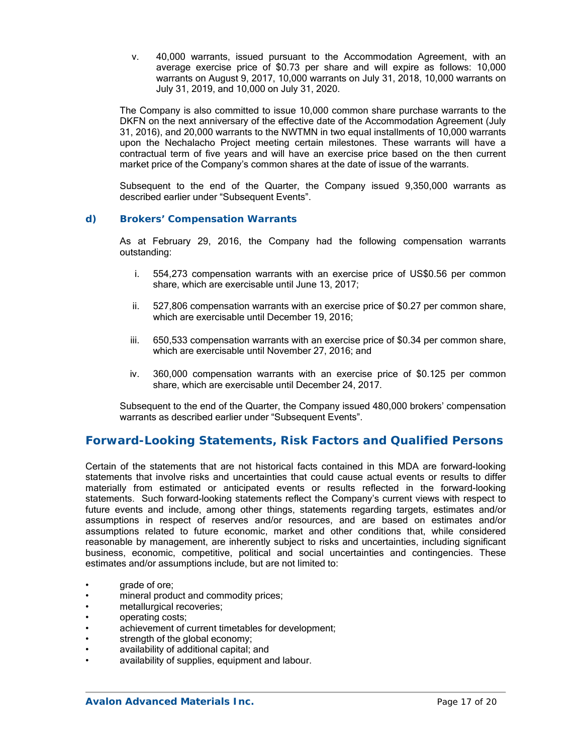v. 40,000 warrants, issued pursuant to the Accommodation Agreement, with an average exercise price of \$0.73 per share and will expire as follows: 10,000 warrants on August 9, 2017, 10,000 warrants on July 31, 2018, 10,000 warrants on July 31, 2019, and 10,000 on July 31, 2020.

The Company is also committed to issue 10,000 common share purchase warrants to the DKFN on the next anniversary of the effective date of the Accommodation Agreement (July 31, 2016), and 20,000 warrants to the NWTMN in two equal installments of 10,000 warrants upon the Nechalacho Project meeting certain milestones. These warrants will have a contractual term of five years and will have an exercise price based on the then current market price of the Company's common shares at the date of issue of the warrants.

Subsequent to the end of the Quarter, the Company issued 9,350,000 warrants as described earlier under "Subsequent Events".

### *d) Brokers' Compensation Warrants*

As at February 29, 2016, the Company had the following compensation warrants outstanding:

- i. 554,273 compensation warrants with an exercise price of US\$0.56 per common share, which are exercisable until June 13, 2017;
- ii. 527,806 compensation warrants with an exercise price of \$0.27 per common share, which are exercisable until December 19, 2016;
- iii. 650,533 compensation warrants with an exercise price of \$0.34 per common share, which are exercisable until November 27, 2016; and
- iv. 360,000 compensation warrants with an exercise price of \$0.125 per common share, which are exercisable until December 24, 2017.

Subsequent to the end of the Quarter, the Company issued 480,000 brokers' compensation warrants as described earlier under "Subsequent Events".

### **Forward-Looking Statements, Risk Factors and Qualified Persons**

Certain of the statements that are not historical facts contained in this MDA are forward-looking statements that involve risks and uncertainties that could cause actual events or results to differ materially from estimated or anticipated events or results reflected in the forward-looking statements. Such forward-looking statements reflect the Company's current views with respect to future events and include, among other things, statements regarding targets, estimates and/or assumptions in respect of reserves and/or resources, and are based on estimates and/or assumptions related to future economic, market and other conditions that, while considered reasonable by management, are inherently subject to risks and uncertainties, including significant business, economic, competitive, political and social uncertainties and contingencies. These estimates and/or assumptions include, but are not limited to:

- grade of ore;
- mineral product and commodity prices;
- metallurgical recoveries;
- operating costs;
- achievement of current timetables for development;
- strength of the global economy;
- availability of additional capital; and
- availability of supplies, equipment and labour.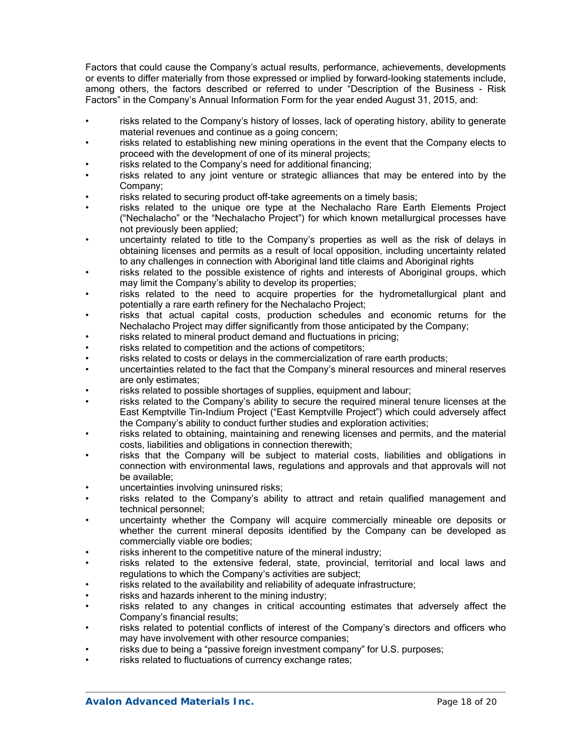Factors that could cause the Company's actual results, performance, achievements, developments or events to differ materially from those expressed or implied by forward-looking statements include, among others, the factors described or referred to under "Description of the Business - Risk Factors" in the Company's Annual Information Form for the year ended August 31, 2015, and:

- risks related to the Company's history of losses, lack of operating history, ability to generate material revenues and continue as a going concern;
- risks related to establishing new mining operations in the event that the Company elects to proceed with the development of one of its mineral projects;
- risks related to the Company's need for additional financing;
- risks related to any joint venture or strategic alliances that may be entered into by the Company;
- risks related to securing product off-take agreements on a timely basis;
- risks related to the unique ore type at the Nechalacho Rare Earth Elements Project ("Nechalacho" or the "Nechalacho Project") for which known metallurgical processes have not previously been applied;
- uncertainty related to title to the Company's properties as well as the risk of delays in obtaining licenses and permits as a result of local opposition, including uncertainty related to any challenges in connection with Aboriginal land title claims and Aboriginal rights
- risks related to the possible existence of rights and interests of Aboriginal groups, which may limit the Company's ability to develop its properties;
- risks related to the need to acquire properties for the hydrometallurgical plant and potentially a rare earth refinery for the Nechalacho Project;
- risks that actual capital costs, production schedules and economic returns for the Nechalacho Project may differ significantly from those anticipated by the Company;
- risks related to mineral product demand and fluctuations in pricing;
- risks related to competition and the actions of competitors;
- risks related to costs or delays in the commercialization of rare earth products;
- uncertainties related to the fact that the Company's mineral resources and mineral reserves are only estimates;
- risks related to possible shortages of supplies, equipment and labour;
- risks related to the Company's ability to secure the required mineral tenure licenses at the East Kemptville Tin-Indium Project ("East Kemptville Project") which could adversely affect the Company's ability to conduct further studies and exploration activities;
- risks related to obtaining, maintaining and renewing licenses and permits, and the material costs, liabilities and obligations in connection therewith;
- risks that the Company will be subject to material costs, liabilities and obligations in connection with environmental laws, regulations and approvals and that approvals will not be available;
- uncertainties involving uninsured risks;
- risks related to the Company's ability to attract and retain qualified management and technical personnel;
- uncertainty whether the Company will acquire commercially mineable ore deposits or whether the current mineral deposits identified by the Company can be developed as commercially viable ore bodies;
- risks inherent to the competitive nature of the mineral industry;
- risks related to the extensive federal, state, provincial, territorial and local laws and regulations to which the Company's activities are subject;
- risks related to the availability and reliability of adequate infrastructure;
- risks and hazards inherent to the mining industry;
- risks related to any changes in critical accounting estimates that adversely affect the Company's financial results;
- risks related to potential conflicts of interest of the Company's directors and officers who may have involvement with other resource companies;
- risks due to being a "passive foreign investment company" for U.S. purposes;
- risks related to fluctuations of currency exchange rates;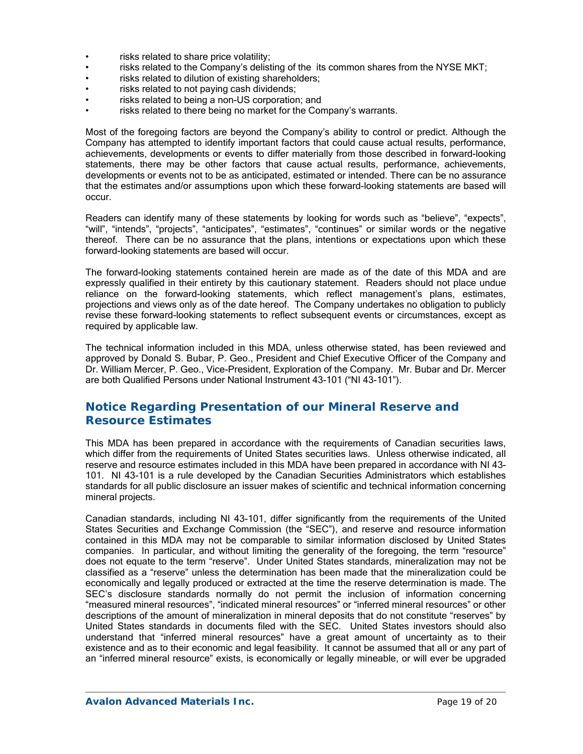- risks related to share price volatility;
- risks related to the Company's delisting of the its common shares from the NYSE MKT;
- risks related to dilution of existing shareholders;
- risks related to not paying cash dividends;
- risks related to being a non-US corporation; and
- risks related to there being no market for the Company's warrants.

Most of the foregoing factors are beyond the Company's ability to control or predict. Although the Company has attempted to identify important factors that could cause actual results, performance, achievements, developments or events to differ materially from those described in forward-looking statements, there may be other factors that cause actual results, performance, achievements, developments or events not to be as anticipated, estimated or intended. There can be no assurance that the estimates and/or assumptions upon which these forward-looking statements are based will occur.

Readers can identify many of these statements by looking for words such as "believe", "expects", "will", "intends", "projects", "anticipates", "estimates", "continues" or similar words or the negative thereof. There can be no assurance that the plans, intentions or expectations upon which these forward-looking statements are based will occur.

The forward-looking statements contained herein are made as of the date of this MDA and are expressly qualified in their entirety by this cautionary statement. Readers should not place undue reliance on the forward-looking statements, which reflect management's plans, estimates, projections and views only as of the date hereof. The Company undertakes no obligation to publicly revise these forward-looking statements to reflect subsequent events or circumstances, except as required by applicable law.

The technical information included in this MDA, unless otherwise stated, has been reviewed and approved by Donald S. Bubar, P. Geo., President and Chief Executive Officer of the Company and Dr. William Mercer, P. Geo., Vice-President, Exploration of the Company. Mr. Bubar and Dr. Mercer are both Qualified Persons under National Instrument 43-101 ("NI 43-101").

# **Notice Regarding Presentation of our Mineral Reserve and Resource Estimates**

This MDA has been prepared in accordance with the requirements of Canadian securities laws, which differ from the requirements of United States securities laws. Unless otherwise indicated, all reserve and resource estimates included in this MDA have been prepared in accordance with NI 43- 101. NI 43-101 is a rule developed by the Canadian Securities Administrators which establishes standards for all public disclosure an issuer makes of scientific and technical information concerning mineral projects.

Canadian standards, including NI 43-101, differ significantly from the requirements of the United States Securities and Exchange Commission (the "SEC"), and reserve and resource information contained in this MDA may not be comparable to similar information disclosed by United States companies. In particular, and without limiting the generality of the foregoing, the term "resource" does not equate to the term "reserve". Under United States standards, mineralization may not be classified as a "reserve" unless the determination has been made that the mineralization could be economically and legally produced or extracted at the time the reserve determination is made. The SEC's disclosure standards normally do not permit the inclusion of information concerning "measured mineral resources", "indicated mineral resources" or "inferred mineral resources" or other descriptions of the amount of mineralization in mineral deposits that do not constitute "reserves" by United States standards in documents filed with the SEC. United States investors should also understand that "inferred mineral resources" have a great amount of uncertainty as to their existence and as to their economic and legal feasibility. It cannot be assumed that all or any part of an "inferred mineral resource" exists, is economically or legally mineable, or will ever be upgraded